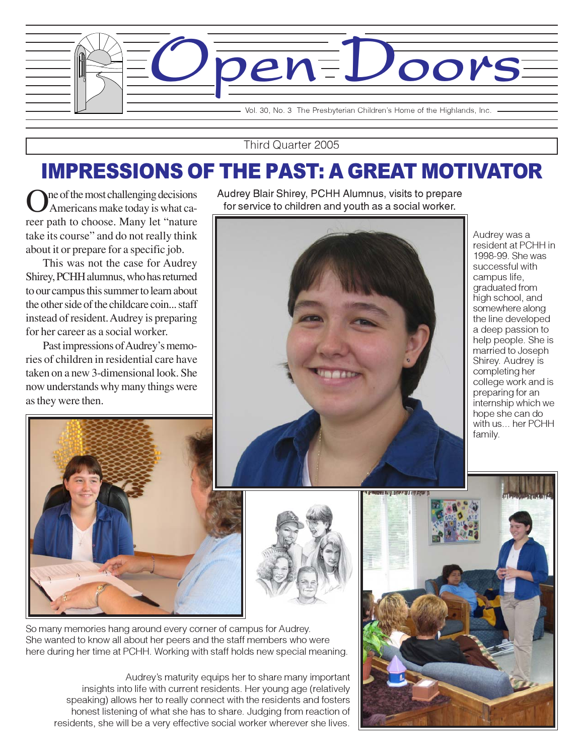

Third Quarter 2005

# IMPRESSIONS OF THE PAST: A GREAT MOTIVATOR

In the most challenging decisions Americans make today is what career path to choose. Many let "nature take its course" and do not really think about it or prepare for a specific job.

This was not the case for Audrey Shirey, PCHH alumnus, who has returned to our campus this summer to learn about the other side of the childcare coin... staff instead of resident. Audrey is preparing for her career as a social worker.

Past impressions of Audrey's memories of children in residential care have taken on a new 3-dimensional look. She now understands why many things were as they were then.

Audrey Blair Shirey, PCHH Alumnus, visits to prepare for service to children and youth as a social worker.



Audrey was a resident at PCHH in 1998-99. She was successful with campus life, graduated from high school, and somewhere along the line developed a deep passion to help people. She is married to Joseph Shirey. Audrey is completing her college work and is preparing for an internship which we hope she can do with us... her PCHH family.





Audrey's maturity equips her to share many important insights into life with current residents. Her young age (relatively speaking) allows her to really connect with the residents and fosters honest listening of what she has to share. Judging from reaction of residents, she will be a very effective social worker wherever she lives.

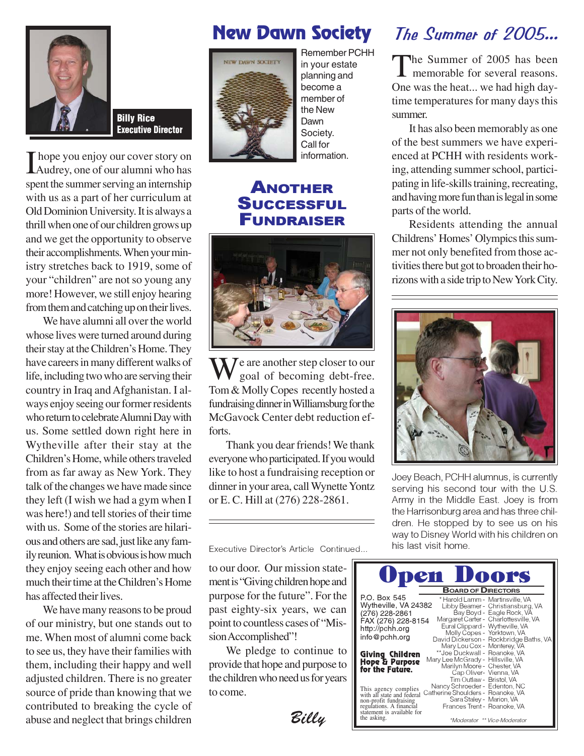

Billy Rice Executive Director

I hope you enjoy our cover story on<br>Audrey, one of our alumni who has Audrey, one of our alumni who has spent the summer serving an internship with us as a part of her curriculum at Old Dominion University. It is always a thrill when one of our children grows up and we get the opportunity to observe their accomplishments. When your ministry stretches back to 1919, some of your "children" are not so young any more! However, we still enjoy hearing from them and catching up on their lives.

We have alumni all over the world whose lives were turned around during their stay at the Children's Home. They have careers in many different walks of life, including two who are serving their country in Iraq and Afghanistan. I always enjoy seeing our former residents who return to celebrate Alumni Day with us. Some settled down right here in Wytheville after their stay at the Children's Home, while others traveled from as far away as New York. They talk of the changes we have made since they left (I wish we had a gym when I was here!) and tell stories of their time with us. Some of the stories are hilarious and others are sad, just like any family reunion. What is obvious is how much they enjoy seeing each other and how much their time at the Children's Home has affected their lives.

We have many reasons to be proud of our ministry, but one stands out to me. When most of alumni come back to see us, they have their families with them, including their happy and well adjusted children. There is no greater source of pride than knowing that we contributed to breaking the cycle of abuse and neglect that brings children

## New Dawn Society



Remember PCHH in your estate planning and become a member of the New Dawn Society. Call for information.

#### ANOTHER **SUCCESSFUL** FUNDRAISER



 $\sqrt{\frac{e^{\cosh t}}{e^{\cosh t}}$ goal of becoming debt-free. Tom & Molly Copes recently hosted a fundraising dinner in Williamsburg for the McGavock Center debt reduction efforts.

Thank you dear friends! We thank everyone who participated. If you would like to host a fundraising reception or dinner in your area, call Wynette Yontz or E. C. Hill at (276) 228-2861.

Executive Director's Article Continued...

to our door. Our mission statement is "Giving children hope and purpose for the future". For the past eighty-six years, we can point to countless cases of "Mission Accomplished"!

We pledge to continue to provide that hope and purpose to the children who need us for years to come.

Billy

### The Summer of 2005...

The Summer of 2005 has been<br>memorable for several reasons. One was the heat... we had high daytime temperatures for many days this summer.

It has also been memorably as one of the best summers we have experienced at PCHH with residents working, attending summer school, participating in life-skills training, recreating, and having more fun than is legal in some parts of the world.

Residents attending the annual Childrens' Homes' Olympics this summer not only benefited from those activities there but got to broaden their horizons with a side trip to New York City.



Joey Beach, PCHH alumnus, is currently serving his second tour with the U.S. Army in the Middle East. Joey is from the Harrisonburg area and has three children. He stopped by to see us on his way to Disney World with his children on his last visit home.

| <b>Upen Doors</b>                                                                                                        |  |
|--------------------------------------------------------------------------------------------------------------------------|--|
| <b>BOARD OF DIRECTORS</b>                                                                                                |  |
| P.O. Box 545<br>* Harold Lamm - Martinsville, VA                                                                         |  |
| Wytheville, VA 24382<br>Libby Beamer - Christiansburg, VA                                                                |  |
| Bay Boyd - Eagle Rock, VA<br>(276) 228-2861                                                                              |  |
| Margaret Carter - Charlottesville, VA<br>FAX (276) 228-8154                                                              |  |
| Eural Clippard - Wytheville, VA<br>http://pchh.org                                                                       |  |
| Molly Copes - Yorktown, VA<br>info@pchh.org<br>David Dickerson - Rockbridge Baths, VA                                    |  |
| Mary Lou Cox - Monterey, VA                                                                                              |  |
| **Joe Duckwall - Roanoke, VA<br>Giving Children                                                                          |  |
| Mary Lee McGrady - Hillsville, VA<br>Hope & Parpose                                                                      |  |
| Marilyn Moore - Chester, VA<br>for the Fatare.                                                                           |  |
| Cap Oliver- Vienna, VA                                                                                                   |  |
| Tim Outlaw - Bristol, VA                                                                                                 |  |
| Nancy Schroeder - Edenton, NC<br>This agency complies<br>with all state and federal<br>Catherine Shoulders - Roanoke, VA |  |
| Sara Staley - Marion, VA<br>non-profit fundraising                                                                       |  |
| Frances Trent - Roanoke, VA<br>regulations. A financial                                                                  |  |
| statement is available for                                                                                               |  |
| the asking.<br>*Moderator ** Vice-Moderator                                                                              |  |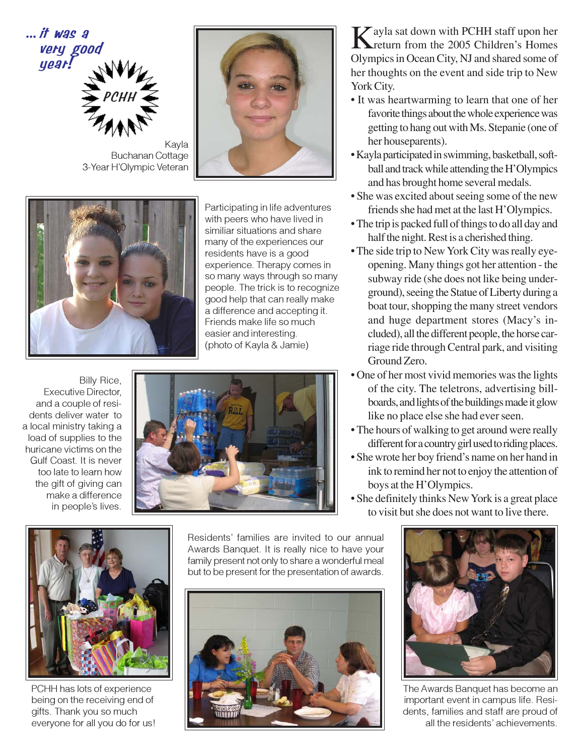

Kayla Buchanan Cottage 3-Year H'Olympic Veteran





Participating in life adventures with peers who have lived in similiar situations and share many of the experiences our residents have is a good experience. Therapy comes in so many ways through so many people. The trick is to recognize good help that can really make a difference and accepting it. Friends make life so much easier and interesting. (photo of Kayla & Jamie)

Billy Rice, Executive Director, and a couple of residents deliver water to a local ministry taking a load of supplies to the huricane victims on the Gulf Coast. It is never too late to learn how the gift of giving can make a difference in people's lives.





PCHH has lots of experience being on the receiving end of gifts. Thank you so much everyone for all you do for us!

Residents' families are invited to our annual Awards Banquet. It is really nice to have your family present not only to share a wonderful meal but to be present for the presentation of awards.



Kayla sat down with PCHH staff upon her<br>Treturn from the 2005 Children's Homes Olympics in Ocean City, NJ and shared some of her thoughts on the event and side trip to New York City.

- It was heartwarming to learn that one of her favorite things about the whole experience was getting to hang out with Ms. Stepanie (one of her houseparents).
- Kayla participated in swimming, basketball, softball and track while attending the H'Olympics and has brought home several medals.
- She was excited about seeing some of the new friends she had met at the last H'Olympics.
- The trip is packed full of things to do all day and half the night. Rest is a cherished thing.
- The side trip to New York City was really eyeopening. Many things got her attention - the subway ride (she does not like being underground), seeing the Statue of Liberty during a boat tour, shopping the many street vendors and huge department stores (Macy's included), all the different people, the horse carriage ride through Central park, and visiting Ground Zero.
- One of her most vivid memories was the lights of the city. The teletrons, advertising billboards, and lights of the buildings made it glow like no place else she had ever seen.
- The hours of walking to get around were really different for a country girl used to riding places.
- She wrote her boy friend's name on her hand in ink to remind her not to enjoy the attention of boys at the H'Olympics.
- She definitely thinks New York is a great place to visit but she does not want to live there.



The Awards Banquet has become an important event in campus life. Residents, families and staff are proud of all the residents' achievements.